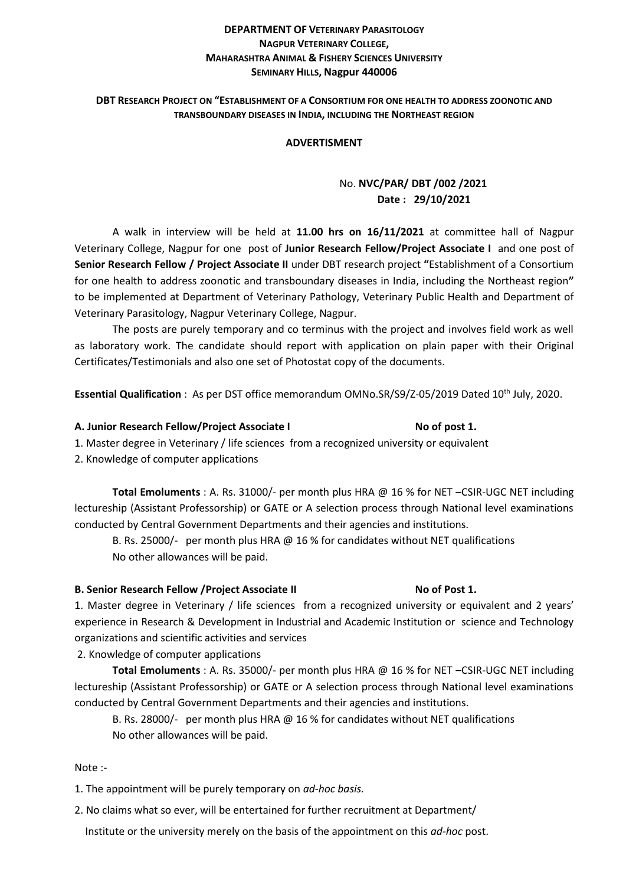#### **DEPARTMENT OF VETERINARY PARASITOLOGY NAGPUR VETERINARY COLLEGE, MAHARASHTRA ANIMAL & FISHERY SCIENCES UNIVERSITY SEMINARY HILLS, Nagpur 440006**

#### **DBT RESEARCH PROJECT ON "ESTABLISHMENT OF A CONSORTIUM FOR ONE HEALTH TO ADDRESS ZOONOTIC AND TRANSBOUNDARY DISEASES IN INDIA, INCLUDING THE NORTHEAST REGION**

#### **ADVERTISMENT**

### No. **NVC/PAR/ DBT /002 /2021 Date : 29/10/2021**

A walk in interview will be held at **11.00 hrs on 16/11/2021** at committee hall of Nagpur Veterinary College, Nagpur for one post of **Junior Research Fellow/Project Associate I** and one post of **Senior Research Fellow / Project Associate II** under DBT research project **"**Establishment of a Consortium for one health to address zoonotic and transboundary diseases in India, including the Northeast region**"**  to be implemented at Department of Veterinary Pathology, Veterinary Public Health and Department of Veterinary Parasitology, Nagpur Veterinary College, Nagpur.

The posts are purely temporary and co terminus with the project and involves field work as well as laboratory work. The candidate should report with application on plain paper with their Original Certificates/Testimonials and also one set of Photostat copy of the documents.

**Essential Qualification** : As per DST office memorandum OMNo.SR/S9/Z-05/2019 Dated 10th July, 2020.

#### A. Junior Research Fellow/Project Associate I **No of post 1.** No of post 1.

- 1. Master degree in Veterinary / life sciences from a recognized university or equivalent
- 2. Knowledge of computer applications

**Total Emoluments** : A. Rs. 31000/- per month plus HRA @ 16 % for NET –CSIR-UGC NET including lectureship (Assistant Professorship) or GATE or A selection process through National level examinations conducted by Central Government Departments and their agencies and institutions.

B. Rs. 25000/- per month plus HRA @ 16 % for candidates without NET qualifications No other allowances will be paid.

#### **B. Senior Research Fellow / Project Associate II <b>No of Post 1. No of Post 1.**

1. Master degree in Veterinary / life sciences from a recognized university or equivalent and 2 years' experience in Research & Development in Industrial and Academic Institution or science and Technology organizations and scientific activities and services

2. Knowledge of computer applications

**Total Emoluments** : A. Rs. 35000/- per month plus HRA @ 16 % for NET –CSIR-UGC NET including lectureship (Assistant Professorship) or GATE or A selection process through National level examinations conducted by Central Government Departments and their agencies and institutions.

B. Rs. 28000/- per month plus HRA @ 16 % for candidates without NET qualifications No other allowances will be paid.

Note :-

1. The appointment will be purely temporary on *ad-hoc basis.*

2. No claims what so ever, will be entertained for further recruitment at Department/

Institute or the university merely on the basis of the appointment on this *ad-hoc* post.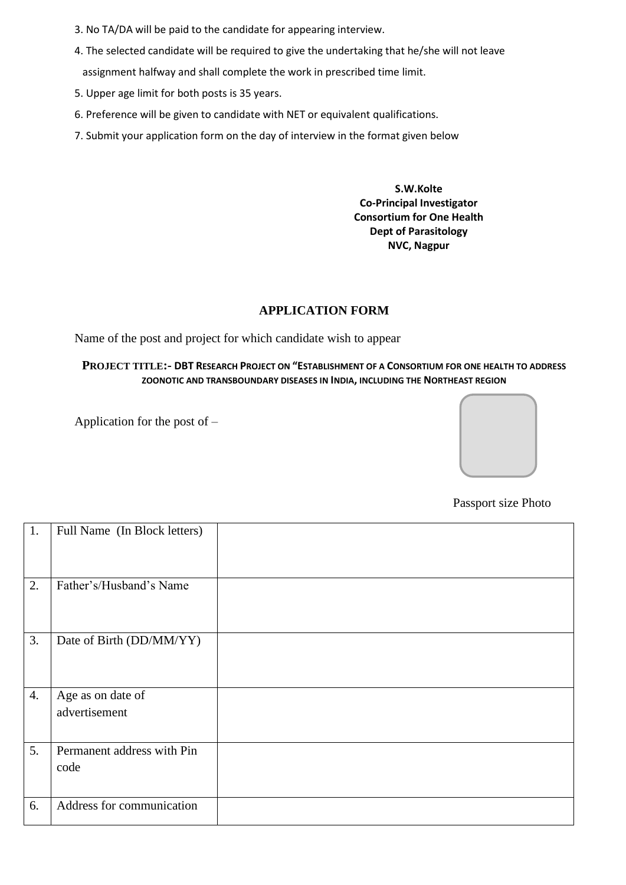- 3. No TA/DA will be paid to the candidate for appearing interview.
- 4. The selected candidate will be required to give the undertaking that he/she will not leave assignment halfway and shall complete the work in prescribed time limit.
- 5. Upper age limit for both posts is 35 years.
- 6. Preference will be given to candidate with NET or equivalent qualifications.
- 7. Submit your application form on the day of interview in the format given below

**S.W.Kolte Co-Principal Investigator Consortium for One Health Dept of Parasitology NVC, Nagpur**

#### **APPLICATION FORM**

Name of the post and project for which candidate wish to appear

#### **PROJECT TITLE:- DBT RESEARCH PROJECT ON "ESTABLISHMENT OF A CONSORTIUM FOR ONE HEALTH TO ADDRESS ZOONOTIC AND TRANSBOUNDARY DISEASES IN INDIA, INCLUDING THE NORTHEAST REGION**

Application for the post of –



Passport size Photo

| 1. | Full Name (In Block letters) |  |
|----|------------------------------|--|
|    |                              |  |
|    |                              |  |
| 2. | Father's/Husband's Name      |  |
|    |                              |  |
| 3. | Date of Birth (DD/MM/YY)     |  |
|    |                              |  |
|    |                              |  |
| 4. | Age as on date of            |  |
|    | advertisement                |  |
|    |                              |  |
| 5. | Permanent address with Pin   |  |
|    | code                         |  |
|    |                              |  |
| 6. | Address for communication    |  |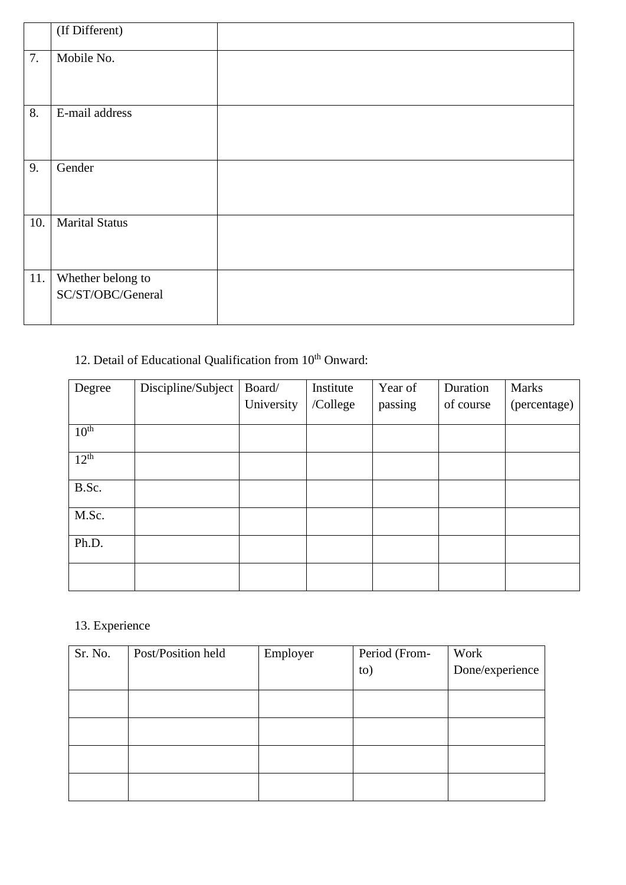|     | (If Different)                         |  |
|-----|----------------------------------------|--|
| 7.  | Mobile No.                             |  |
| 8.  | E-mail address                         |  |
| 9.  | Gender                                 |  |
| 10. | <b>Marital Status</b>                  |  |
| 11. | Whether belong to<br>SC/ST/OBC/General |  |

# 12. Detail of Educational Qualification from  $10^{th}$  Onward:

| Degree           | Discipline/Subject | Board/     | Institute | Year of | Duration  | <b>Marks</b> |
|------------------|--------------------|------------|-----------|---------|-----------|--------------|
|                  |                    | University | /College  | passing | of course | (percentage) |
|                  |                    |            |           |         |           |              |
| 10 <sup>th</sup> |                    |            |           |         |           |              |
| $12^{th}$        |                    |            |           |         |           |              |
| B.Sc.            |                    |            |           |         |           |              |
| M.Sc.            |                    |            |           |         |           |              |
| Ph.D.            |                    |            |           |         |           |              |
|                  |                    |            |           |         |           |              |

## 13. Experience

| Sr. No. | Post/Position held | Employer | Period (From- | Work            |
|---------|--------------------|----------|---------------|-----------------|
|         |                    |          | to)           | Done/experience |
|         |                    |          |               |                 |
|         |                    |          |               |                 |
|         |                    |          |               |                 |
|         |                    |          |               |                 |
|         |                    |          |               |                 |
|         |                    |          |               |                 |
|         |                    |          |               |                 |
|         |                    |          |               |                 |
|         |                    |          |               |                 |